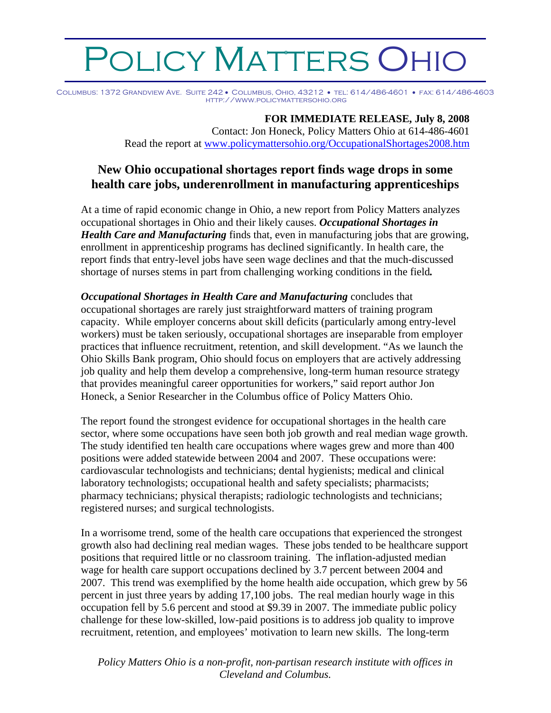## **DLICY MATTERS OHIC**

Columbus: 1372 Grandview Ave. Suite 242 • Columbus, Ohio, 43212 • tel: 614/486-4601 • fax: 614/486-4603 http://www.policymattersohio.org

## **FOR IMMEDIATE RELEASE, July 8, 2008**

Contact: Jon Honeck, Policy Matters Ohio at 614-486-4601 Read the report at [www.policymattersohio.org/OccupationalShortages2008.htm](http://www.policymattersohio.org/OccupationalShortages2008.htm) 

## **New Ohio occupational shortages report finds wage drops in some health care jobs, underenrollment in manufacturing apprenticeships**

At a time of rapid economic change in Ohio, a new report from Policy Matters analyzes occupational shortages in Ohio and their likely causes. *Occupational Shortages in Health Care and Manufacturing* finds that, even in manufacturing jobs that are growing, enrollment in apprenticeship programs has declined significantly. In health care, the report finds that entry-level jobs have seen wage declines and that the much-discussed shortage of nurses stems in part from challenging working conditions in the field*.* 

*Occupational Shortages in Health Care and Manufacturing* concludes that occupational shortages are rarely just straightforward matters of training program capacity. While employer concerns about skill deficits (particularly among entry-level workers) must be taken seriously, occupational shortages are inseparable from employer practices that influence recruitment, retention, and skill development. "As we launch the Ohio Skills Bank program, Ohio should focus on employers that are actively addressing job quality and help them develop a comprehensive, long-term human resource strategy that provides meaningful career opportunities for workers," said report author Jon Honeck, a Senior Researcher in the Columbus office of Policy Matters Ohio.

The report found the strongest evidence for occupational shortages in the health care sector, where some occupations have seen both job growth and real median wage growth. The study identified ten health care occupations where wages grew and more than 400 positions were added statewide between 2004 and 2007. These occupations were: cardiovascular technologists and technicians; dental hygienists; medical and clinical laboratory technologists; occupational health and safety specialists; pharmacists; pharmacy technicians; physical therapists; radiologic technologists and technicians; registered nurses; and surgical technologists.

In a worrisome trend, some of the health care occupations that experienced the strongest growth also had declining real median wages. These jobs tended to be healthcare support positions that required little or no classroom training. The inflation-adjusted median wage for health care support occupations declined by 3.7 percent between 2004 and 2007. This trend was exemplified by the home health aide occupation, which grew by 56 percent in just three years by adding 17,100 jobs. The real median hourly wage in this occupation fell by 5.6 percent and stood at \$9.39 in 2007. The immediate public policy challenge for these low-skilled, low-paid positions is to address job quality to improve recruitment, retention, and employees' motivation to learn new skills. The long-term

*Policy Matters Ohio is a non-profit, non-partisan research institute with offices in Cleveland and Columbus.*